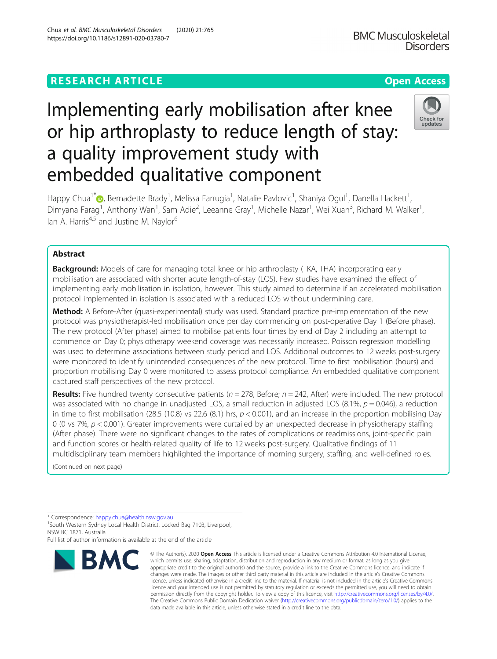# **RESEARCH ARTICLE Example 2014 12:30 The Contract of Contract ACCESS**

# Implementing early mobilisation after knee or hip arthroplasty to reduce length of stay: a quality improvement study with embedded qualitative component

Happy Chua<sup>1[\\*](http://orcid.org/0000-0002-2710-311X)</sup>iib, Bernadette Brady<sup>1</sup>, Melissa Farrugia<sup>1</sup>, Natalie Pavlovic<sup>1</sup>, Shaniya Ogul<sup>1</sup>, Danella Hackett<sup>1</sup> , Dimyana Farag<sup>1</sup>, Anthony Wan<sup>1</sup>, Sam Adie<sup>2</sup>, Leeanne Gray<sup>1</sup>, Michelle Nazar<sup>1</sup>, Wei Xuan<sup>3</sup>, Richard M. Walker<sup>1</sup> , Ian A. Harris<sup>4,5</sup> and Justine M. Naylor<sup>6</sup>

# Abstract

**Background:** Models of care for managing total knee or hip arthroplasty (TKA, THA) incorporating early mobilisation are associated with shorter acute length-of-stay (LOS). Few studies have examined the effect of implementing early mobilisation in isolation, however. This study aimed to determine if an accelerated mobilisation protocol implemented in isolation is associated with a reduced LOS without undermining care.

**Method:** A Before-After (quasi-experimental) study was used. Standard practice pre-implementation of the new protocol was physiotherapist-led mobilisation once per day commencing on post-operative Day 1 (Before phase). The new protocol (After phase) aimed to mobilise patients four times by end of Day 2 including an attempt to commence on Day 0; physiotherapy weekend coverage was necessarily increased. Poisson regression modelling was used to determine associations between study period and LOS. Additional outcomes to 12 weeks post-surgery were monitored to identify unintended consequences of the new protocol. Time to first mobilisation (hours) and proportion mobilising Day 0 were monitored to assess protocol compliance. An embedded qualitative component captured staff perspectives of the new protocol.

**Results:** Five hundred twenty consecutive patients ( $n = 278$ , Before;  $n = 242$ , After) were included. The new protocol was associated with no change in unadjusted LOS, a small reduction in adjusted LOS (8.1%,  $p = 0.046$ ), a reduction in time to first mobilisation (28.5 (10.8) vs 22.6 (8.1) hrs,  $p < 0.001$ ), and an increase in the proportion mobilising Day 0 (0 vs 7%,  $p < 0.001$ ). Greater improvements were curtailed by an unexpected decrease in physiotherapy staffing (After phase). There were no significant changes to the rates of complications or readmissions, joint-specific pain and function scores or health-related quality of life to 12 weeks post-surgery. Qualitative findings of 11 multidisciplinary team members highlighted the importance of morning surgery, staffing, and well-defined roles.

(Continued on next page)





© The Author(s), 2020 **Open Access** This article is licensed under a Creative Commons Attribution 4.0 International License, which permits use, sharing, adaptation, distribution and reproduction in any medium or format, as long as you give appropriate credit to the original author(s) and the source, provide a link to the Creative Commons licence, and indicate if changes were made. The images or other third party material in this article are included in the article's Creative Commons licence, unless indicated otherwise in a credit line to the material. If material is not included in the article's Creative Commons licence and your intended use is not permitted by statutory regulation or exceeds the permitted use, you will need to obtain permission directly from the copyright holder. To view a copy of this licence, visit [http://creativecommons.org/licenses/by/4.0/.](http://creativecommons.org/licenses/by/4.0/) The Creative Commons Public Domain Dedication waiver [\(http://creativecommons.org/publicdomain/zero/1.0/](http://creativecommons.org/publicdomain/zero/1.0/)) applies to the data made available in this article, unless otherwise stated in a credit line to the data.

<sup>\*</sup> Correspondence: [happy.chua@health.nsw.gov.au](mailto:happy.chua@health.nsw.gov.au) <sup>1</sup>

<sup>&</sup>lt;sup>1</sup>South Western Sydney Local Health District, Locked Bag 7103, Liverpool, NSW BC 1871, Australia

Full list of author information is available at the end of the article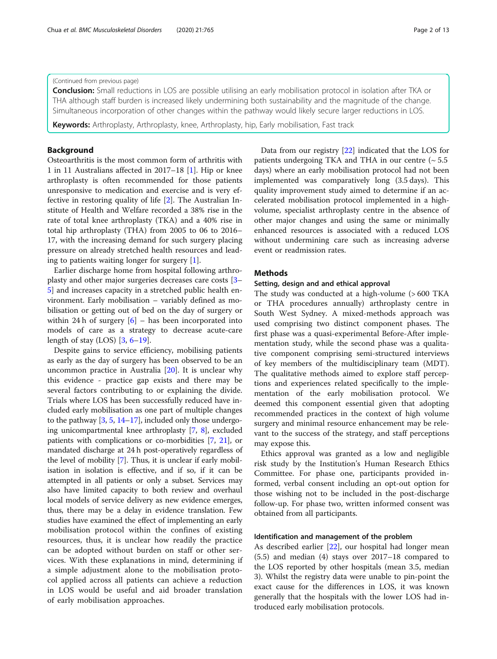#### (Continued from previous page)

**Conclusion:** Small reductions in LOS are possible utilising an early mobilisation protocol in isolation after TKA or THA although staff burden is increased likely undermining both sustainability and the magnitude of the change. Simultaneous incorporation of other changes within the pathway would likely secure larger reductions in LOS.

**Keywords:** Arthroplasty, Arthroplasty, knee, Arthroplasty, hip, Early mobilisation, Fast track

# Background

Osteoarthritis is the most common form of arthritis with 1 in 11 Australians affected in 2017–18 [\[1\]](#page-11-0). Hip or knee arthroplasty is often recommended for those patients unresponsive to medication and exercise and is very effective in restoring quality of life [\[2](#page-11-0)]. The Australian Institute of Health and Welfare recorded a 38% rise in the rate of total knee arthroplasty (TKA) and a 40% rise in total hip arthroplasty (THA) from 2005 to 06 to 2016– 17, with the increasing demand for such surgery placing pressure on already stretched health resources and leading to patients waiting longer for surgery [[1\]](#page-11-0).

Earlier discharge home from hospital following arthroplasty and other major surgeries decreases care costs [[3](#page-11-0)– [5\]](#page-11-0) and increases capacity in a stretched public health environment. Early mobilisation – variably defined as mobilisation or getting out of bed on the day of surgery or within 24 h of surgery  $[6]$  – has been incorporated into models of care as a strategy to decrease acute-care length of stay  $(LOS)$   $[3, 6-19]$  $[3, 6-19]$  $[3, 6-19]$  $[3, 6-19]$  $[3, 6-19]$  $[3, 6-19]$ .

Despite gains to service efficiency, mobilising patients as early as the day of surgery has been observed to be an uncommon practice in Australia [[20\]](#page-12-0). It is unclear why this evidence - practice gap exists and there may be several factors contributing to or explaining the divide. Trials where LOS has been successfully reduced have included early mobilisation as one part of multiple changes to the pathway [\[3](#page-11-0), [5,](#page-11-0) [14](#page-11-0)–[17](#page-12-0)], included only those undergoing unicompartmental knee arthroplasty [[7](#page-11-0), [8\]](#page-11-0), excluded patients with complications or co-morbidities [[7,](#page-11-0) [21\]](#page-12-0), or mandated discharge at 24 h post-operatively regardless of the level of mobility [[7\]](#page-11-0). Thus, it is unclear if early mobilisation in isolation is effective, and if so, if it can be attempted in all patients or only a subset. Services may also have limited capacity to both review and overhaul local models of service delivery as new evidence emerges, thus, there may be a delay in evidence translation. Few studies have examined the effect of implementing an early mobilisation protocol within the confines of existing resources, thus, it is unclear how readily the practice can be adopted without burden on staff or other services. With these explanations in mind, determining if a simple adjustment alone to the mobilisation protocol applied across all patients can achieve a reduction in LOS would be useful and aid broader translation of early mobilisation approaches.

Data from our registry [[22\]](#page-12-0) indicated that the LOS for patients undergoing TKA and THA in our centre  $($   $\sim$  5.5 days) where an early mobilisation protocol had not been implemented was comparatively long (3.5 days). This quality improvement study aimed to determine if an accelerated mobilisation protocol implemented in a highvolume, specialist arthroplasty centre in the absence of other major changes and using the same or minimally enhanced resources is associated with a reduced LOS without undermining care such as increasing adverse event or readmission rates.

# **Methods**

#### Setting, design and and ethical approval

The study was conducted at a high-volume (> 600 TKA or THA procedures annually) arthroplasty centre in South West Sydney. A mixed-methods approach was used comprising two distinct component phases. The first phase was a quasi-experimental Before-After implementation study, while the second phase was a qualitative component comprising semi-structured interviews of key members of the multidisciplinary team (MDT). The qualitative methods aimed to explore staff perceptions and experiences related specifically to the implementation of the early mobilisation protocol. We deemed this component essential given that adopting recommended practices in the context of high volume surgery and minimal resource enhancement may be relevant to the success of the strategy, and staff perceptions may expose this.

Ethics approval was granted as a low and negligible risk study by the Institution's Human Research Ethics Committee. For phase one, participants provided informed, verbal consent including an opt-out option for those wishing not to be included in the post-discharge follow-up. For phase two, written informed consent was obtained from all participants.

#### Identification and management of the problem

As described earlier [[22\]](#page-12-0), our hospital had longer mean (5.5) and median (4) stays over 2017–18 compared to the LOS reported by other hospitals (mean 3.5, median 3). Whilst the registry data were unable to pin-point the exact cause for the differences in LOS, it was known generally that the hospitals with the lower LOS had introduced early mobilisation protocols.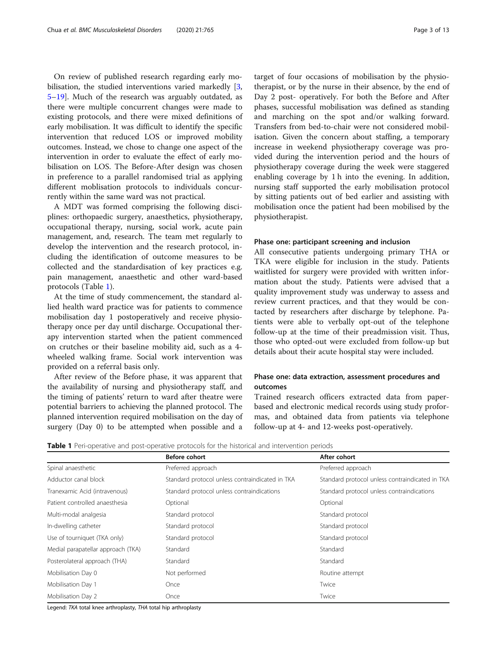On review of published research regarding early mo-bilisation, the studied interventions varied markedly [[3](#page-11-0), [5](#page-11-0)–[19](#page-12-0)]. Much of the research was arguably outdated, as there were multiple concurrent changes were made to existing protocols, and there were mixed definitions of early mobilisation. It was difficult to identify the specific intervention that reduced LOS or improved mobility outcomes. Instead, we chose to change one aspect of the intervention in order to evaluate the effect of early mobilisation on LOS. The Before-After design was chosen in preference to a parallel randomised trial as applying different moblisation protocols to individuals concurrently within the same ward was not practical.

A MDT was formed comprising the following disciplines: orthopaedic surgery, anaesthetics, physiotherapy, occupational therapy, nursing, social work, acute pain management, and, research. The team met regularly to develop the intervention and the research protocol, including the identification of outcome measures to be collected and the standardisation of key practices e.g. pain management, anaesthetic and other ward-based protocols (Table 1).

At the time of study commencement, the standard allied health ward practice was for patients to commence mobilisation day 1 postoperatively and receive physiotherapy once per day until discharge. Occupational therapy intervention started when the patient commenced on crutches or their baseline mobility aid, such as a 4 wheeled walking frame. Social work intervention was provided on a referral basis only.

After review of the Before phase, it was apparent that the availability of nursing and physiotherapy staff, and the timing of patients' return to ward after theatre were potential barriers to achieving the planned protocol. The planned intervention required mobilisation on the day of surgery (Day 0) to be attempted when possible and a

target of four occasions of mobilisation by the physiotherapist, or by the nurse in their absence, by the end of Day 2 post- operatively. For both the Before and After phases, successful mobilisation was defined as standing and marching on the spot and/or walking forward. Transfers from bed-to-chair were not considered mobilisation. Given the concern about staffing, a temporary increase in weekend physiotherapy coverage was provided during the intervention period and the hours of physiotherapy coverage during the week were staggered enabling coverage by 1 h into the evening. In addition, nursing staff supported the early mobilisation protocol by sitting patients out of bed earlier and assisting with mobilisation once the patient had been mobilised by the physiotherapist.

#### Phase one: participant screening and inclusion

All consecutive patients undergoing primary THA or TKA were eligible for inclusion in the study. Patients waitlisted for surgery were provided with written information about the study. Patients were advised that a quality improvement study was underway to assess and review current practices, and that they would be contacted by researchers after discharge by telephone. Patients were able to verbally opt-out of the telephone follow-up at the time of their preadmission visit. Thus, those who opted-out were excluded from follow-up but details about their acute hospital stay were included.

# Phase one: data extraction, assessment procedures and outcomes

Trained research officers extracted data from paperbased and electronic medical records using study proformas, and obtained data from patients via telephone follow-up at 4- and 12-weeks post-operatively.

Table 1 Peri-operative and post-operative protocols for the historical and intervention periods

|                                    | Before cohort                                   | After cohort                                    |
|------------------------------------|-------------------------------------------------|-------------------------------------------------|
| Spinal anaesthetic                 | Preferred approach                              | Preferred approach                              |
| Adductor canal block               | Standard protocol unless contraindicated in TKA | Standard protocol unless contraindicated in TKA |
| Tranexamic Acid (intravenous)      | Standard protocol unless contraindications      | Standard protocol unless contraindications      |
| Patient controlled anaesthesia     | Optional                                        | Optional                                        |
| Multi-modal analgesia              | Standard protocol                               | Standard protocol                               |
| In-dwelling catheter               | Standard protocol                               | Standard protocol                               |
| Use of tourniquet (TKA only)       | Standard protocol                               | Standard protocol                               |
| Medial parapatellar approach (TKA) | Standard                                        | Standard                                        |
| Posterolateral approach (THA)      | Standard                                        | Standard                                        |
| Mobilisation Day 0                 | Not performed                                   | Routine attempt                                 |
| Mobilisation Day 1                 | Once                                            | Twice                                           |
| Mobilisation Day 2                 | Once                                            | Twice                                           |

Legend: TKA total knee arthroplasty, THA total hip arthroplasty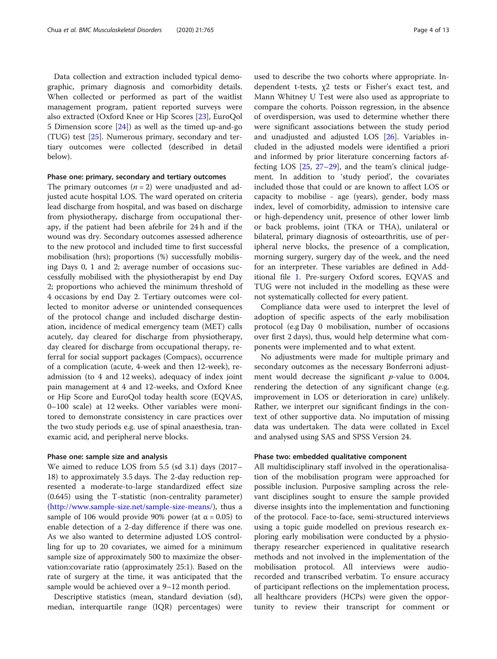Data collection and extraction included typical demographic, primary diagnosis and comorbidity details. When collected or performed as part of the waitlist management program, patient reported surveys were also extracted (Oxford Knee or Hip Scores [[23](#page-12-0)], EuroQol 5 Dimension score [\[24](#page-12-0)]) as well as the timed up-and-go (TUG) test [[25\]](#page-12-0). Numerous primary, secondary and tertiary outcomes were collected (described in detail below).

#### Phase one: primary, secondary and tertiary outcomes

The primary outcomes  $(n = 2)$  were unadjusted and adjusted acute hospital LOS. The ward operated on criteria lead discharge from hospital, and was based on discharge from physiotherapy, discharge from occupational therapy, if the patient had been afebrile for 24 h and if the wound was dry. Secondary outcomes assessed adherence to the new protocol and included time to first successful mobilisation (hrs); proportions (%) successfully mobilising Days 0, 1 and 2; average number of occasions successfully mobilised with the physiotherapist by end Day 2; proportions who achieved the minimum threshold of 4 occasions by end Day 2. Tertiary outcomes were collected to monitor adverse or unintended consequences of the protocol change and included discharge destination, incidence of medical emergency team (MET) calls acutely, day cleared for discharge from physiotherapy, day cleared for discharge from occupational therapy, referral for social support packages (Compacs), occurrence of a complication (acute, 4-week and then 12-week), readmission (to 4 and 12 weeks), adequacy of index joint pain management at 4 and 12-weeks, and Oxford Knee or Hip Score and EuroQol today health score (EQVAS, 0–100 scale) at 12 weeks. Other variables were monitored to demonstrate consistency in care practices over the two study periods e.g. use of spinal anaesthesia, tranexamic acid, and peripheral nerve blocks.

#### Phase one: sample size and analysis

We aimed to reduce LOS from 5.5 (sd 3.1) days (2017– 18) to approximately 3.5 days. The 2-day reduction represented a moderate-to-large standardized effect size (0.645) using the T-statistic (non-centrality parameter) (<http://www.sample-size.net/sample-size-means/>), thus a sample of 106 would provide 90% power (at  $\alpha$  = 0.05) to enable detection of a 2-day difference if there was one. As we also wanted to determine adjusted LOS controlling for up to 20 covariates, we aimed for a minimum sample size of approximately 500 to maximize the observation:covariate ratio (approximately 25:1). Based on the rate of surgery at the time, it was anticipated that the sample would be achieved over a 9–12 month period.

Descriptive statistics (mean, standard deviation (sd), median, interquartile range (IQR) percentages) were

used to describe the two cohorts where appropriate. Independent t-tests, χ2 tests or Fisher's exact test, and Mann Whitney U Test were also used as appropriate to compare the cohorts. Poisson regression, in the absence of overdispersion, was used to determine whether there were significant associations between the study period and unadjusted and adjusted LOS [[26\]](#page-12-0). Variables included in the adjusted models were identified a priori and informed by prior literature concerning factors affecting LOS [\[25,](#page-12-0) [27](#page-12-0)–[29\]](#page-12-0), and the team's clinical judgement. In addition to 'study period', the covariates included those that could or are known to affect LOS or capacity to mobilise - age (years), gender, body mass index, level of comorbidity, admission to intensive care or high-dependency unit, presence of other lower limb or back problems, joint (TKA or THA), unilateral or bilateral, primary diagnosis of osteoarthritis, use of peripheral nerve blocks, the presence of a complication, morning surgery, surgery day of the week, and the need for an interpreter. These variables are defined in Additional file [1.](#page-11-0) Pre-surgery Oxford scores, EQVAS and TUG were not included in the modelling as these were not systematically collected for every patient.

Compliance data were used to interpret the level of adoption of specific aspects of the early mobilisation protocol (e.g Day 0 mobilisation, number of occasions over first 2 days), thus, would help determine what components were implemented and to what extent.

No adjustments were made for multiple primary and secondary outcomes as the necessary Bonferroni adjustment would decrease the significant  $p$ -value to 0.004, rendering the detection of any significant change (e.g. improvement in LOS or deterioration in care) unlikely. Rather, we interpret our significant findings in the context of other supportive data. No imputation of missing data was undertaken. The data were collated in Excel and analysed using SAS and SPSS Version 24.

#### Phase two: embedded qualitative component

All multidisciplinary staff involved in the operationalisation of the mobilisation program were approached for possible inclusion. Purposive sampling across the relevant disciplines sought to ensure the sample provided diverse insights into the implementation and functioning of the protocol. Face-to-face, semi-structured interviews using a topic guide modelled on previous research exploring early mobilisation were conducted by a physiotherapy researcher experienced in qualitative research methods and not involved in the implementation of the mobilisation protocol. All interviews were audiorecorded and transcribed verbatim. To ensure accuracy of participant reflections on the implementation process, all healthcare providers (HCPs) were given the opportunity to review their transcript for comment or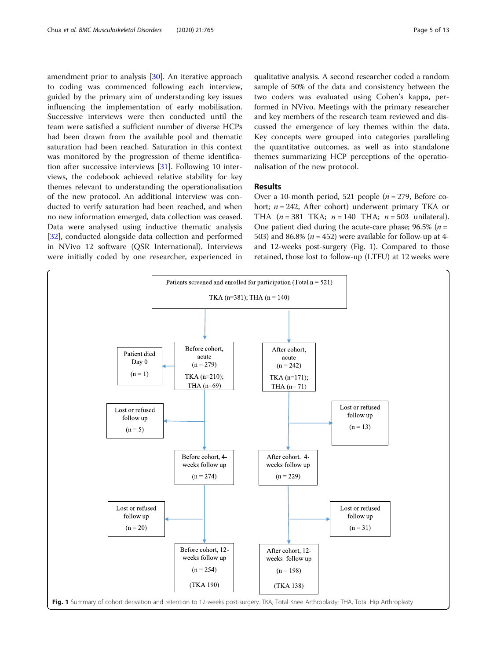amendment prior to analysis [\[30](#page-12-0)]. An iterative approach to coding was commenced following each interview, guided by the primary aim of understanding key issues influencing the implementation of early mobilisation. Successive interviews were then conducted until the team were satisfied a sufficient number of diverse HCPs had been drawn from the available pool and thematic saturation had been reached. Saturation in this context was monitored by the progression of theme identification after successive interviews [[31\]](#page-12-0). Following 10 interviews, the codebook achieved relative stability for key themes relevant to understanding the operationalisation of the new protocol. An additional interview was conducted to verify saturation had been reached, and when no new information emerged, data collection was ceased. Data were analysed using inductive thematic analysis [[32\]](#page-12-0), conducted alongside data collection and performed in NVivo 12 software (QSR International). Interviews were initially coded by one researcher, experienced in

qualitative analysis. A second researcher coded a random sample of 50% of the data and consistency between the two coders was evaluated using Cohen's kappa, performed in NVivo. Meetings with the primary researcher and key members of the research team reviewed and discussed the emergence of key themes within the data. Key concepts were grouped into categories paralleling the quantitative outcomes, as well as into standalone themes summarizing HCP perceptions of the operationalisation of the new protocol.

# Results

Over a 10-month period, 521 people ( $n = 279$ , Before cohort;  $n = 242$ , After cohort) underwent primary TKA or THA  $(n = 381$  TKA;  $n = 140$  THA;  $n = 503$  unilateral). One patient died during the acute-care phase; 96.5% ( $n =$ 503) and 86.8% ( $n = 452$ ) were available for follow-up at 4and 12-weeks post-surgery (Fig. 1). Compared to those retained, those lost to follow-up (LTFU) at 12 weeks were

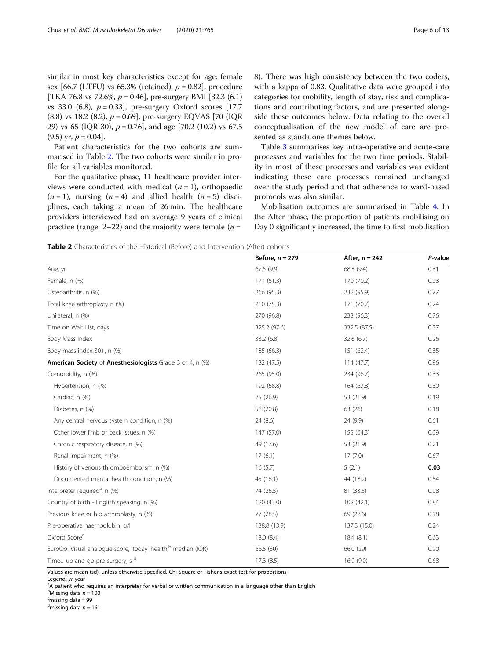similar in most key characteristics except for age: female sex [66.7 (LTFU) vs 65.3% (retained),  $p = 0.82$ ], procedure [TKA 76.8 vs 72.6%,  $p = 0.46$ ], pre-surgery BMI [32.3 (6.1)] vs 33.0 (6.8),  $p = 0.33$ , pre-surgery Oxford scores [17.7] (8.8) vs 18.2 (8.2),  $p = 0.69$ ], pre-surgery EQVAS [70 (IQR 29) vs 65 (IQR 30),  $p = 0.76$ ], and age [70.2 (10.2) vs 67.5  $(9.5)$  yr,  $p = 0.04$ .

Patient characteristics for the two cohorts are summarised in Table 2. The two cohorts were similar in profile for all variables monitored.

For the qualitative phase, 11 healthcare provider interviews were conducted with medical  $(n = 1)$ , orthopaedic  $(n = 1)$ , nursing  $(n = 4)$  and allied health  $(n = 5)$  disciplines, each taking a mean of 26 min. The healthcare providers interviewed had on average 9 years of clinical practice (range: 2–22) and the majority were female ( $n =$ 

8). There was high consistency between the two coders, with a kappa of 0.83. Qualitative data were grouped into categories for mobility, length of stay, risk and complications and contributing factors, and are presented alongside these outcomes below. Data relating to the overall conceptualisation of the new model of care are presented as standalone themes below.

Table [3](#page-6-0) summarises key intra-operative and acute-care processes and variables for the two time periods. Stability in most of these processes and variables was evident indicating these care processes remained unchanged over the study period and that adherence to ward-based protocols was also similar.

Mobilisation outcomes are summarised in Table [4.](#page-7-0) In the After phase, the proportion of patients mobilising on Day 0 significantly increased, the time to first mobilisation

Table 2 Characteristics of the Historical (Before) and Intervention (After) cohorts

|                                                               | Before, $n = 279$ | After, $n = 242$ | P-value |
|---------------------------------------------------------------|-------------------|------------------|---------|
| Age, yr                                                       | 67.5(9.9)         | 68.3 (9.4)       | 0.31    |
| Female, n (%)                                                 | 171 (61.3)        | 170 (70.2)       | 0.03    |
| Osteoarthritis, n (%)                                         | 266 (95.3)        | 232 (95.9)       | 0.77    |
| Total knee arthroplasty n (%)                                 | 210 (75.3)        | 171 (70.7)       | 0.24    |
| Unilateral, n (%)                                             | 270 (96.8)        | 233 (96.3)       | 0.76    |
| Time on Wait List, days                                       | 325.2 (97.6)      | 332.5 (87.5)     | 0.37    |
| Body Mass Index                                               | 33.2(6.8)         | 32.6(6.7)        | 0.26    |
| Body mass index 30+, n (%)                                    | 185 (66.3)        | 151 (62.4)       | 0.35    |
| American Society of Anesthesiologists Grade 3 or 4, n (%)     | 132 (47.5)        | 114(47.7)        | 0.96    |
| Comorbidity, n (%)                                            | 265 (95.0)        | 234 (96.7)       | 0.33    |
| Hypertension, n (%)                                           | 192 (68.8)        | 164 (67.8)       | 0.80    |
| Cardiac, n (%)                                                | 75 (26.9)         | 53 (21.9)        | 0.19    |
| Diabetes, n (%)                                               | 58 (20.8)         | 63 (26)          | 0.18    |
| Any central nervous system condition, n (%)                   | 24 (8.6)          | 24 (9.9)         | 0.61    |
| Other lower limb or back issues, n (%)                        | 147 (57.0)        | 155 (64.3)       | 0.09    |
| Chronic respiratory disease, n (%)                            | 49 (17.6)         | 53 (21.9)        | 0.21    |
| Renal impairment, n (%)                                       | 17(6.1)           | 17(7.0)          | 0.67    |
| History of venous thromboembolism, n (%)                      | 16(5.7)           | 5(2.1)           | 0.03    |
| Documented mental health condition, n (%)                     | 45 (16.1)         | 44 (18.2)        | 0.54    |
| Interpreter required <sup>a</sup> , n (%)                     | 74 (26.5)         | 81 (33.5)        | 0.08    |
| Country of birth - English speaking, n (%)                    | 120 (43.0)        | 102 (42.1)       | 0.84    |
| Previous knee or hip arthroplasty, n (%)                      | 77(28.5)          | 69 (28.6)        | 0.98    |
| Pre-operative haemoglobin, g/l                                | 138.8 (13.9)      | 137.3 (15.0)     | 0.24    |
| Oxford Score <sup>c</sup>                                     | 18.0 (8.4)        | 18.4(8.1)        | 0.63    |
| EuroQol Visual analogue score, 'today' health, b median (IQR) | 66.5 (30)         | 66.0 (29)        | 0.90    |
| Timed up-and-go pre-surgery, s d                              | 17.3(8.5)         | 16.9(9.0)        | 0.68    |

Values are mean (sd), unless otherwise specified. Chi-Square or Fisher's exact test for proportions

Legend: yr year

<sup>a</sup>A patient who requires an interpreter for verbal or written communication in a language other than English

<sup>b</sup>Missing data  $n = 100$ 

 $<sup>c</sup>$ missing data = 99</sup>

<sup>d</sup> missing data  $n = 161$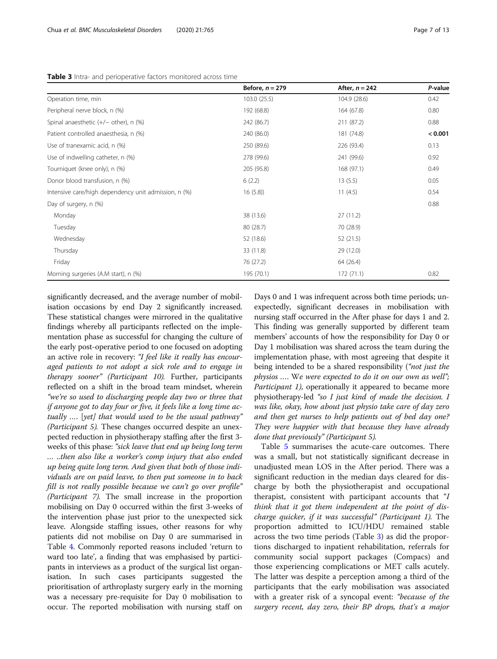|                                                      | Before, $n = 279$ | After, $n = 242$ | P-value |
|------------------------------------------------------|-------------------|------------------|---------|
| Operation time, min                                  | 103.0(25.5)       | 104.9 (28.6)     | 0.42    |
| Peripheral nerve block, n (%)                        | 192 (68.8)        | 164 (67.8)       | 0.80    |
| Spinal anaesthetic (+/- other), n (%)                | 242 (86.7)        | 211 (87.2)       | 0.88    |
| Patient controlled anaesthesia, n (%)                | 240 (86.0)        | 181 (74.8)       | < 0.001 |
| Use of tranexamic acid, n (%)                        | 250 (89.6)        | 226 (93.4)       | 0.13    |
| Use of indwelling catheter, n (%)                    | 278 (99.6)        | 241 (99.6)       | 0.92    |
| Tourniquet (knee only), n (%)                        | 205 (95.8)        | 168 (97.1)       | 0.49    |
| Donor blood transfusion, n (%)                       | 6(2.2)            | 13(5.5)          | 0.05    |
| Intensive care/high dependency unit admission, n (%) | 16(5.8)           | 11(4.5)          | 0.54    |
| Day of surgery, n (%)                                |                   |                  | 0.88    |
| Monday                                               | 38 (13.6)         | 27(11.2)         |         |
| Tuesday                                              | 80 (28.7)         | 70 (28.9)        |         |
| Wednesday                                            | 52 (18.6)         | 52(21.5)         |         |
| Thursday                                             | 33 (11.8)         | 29 (12.0)        |         |
| Friday                                               | 76 (27.2)         | 64 (26.4)        |         |
| Morning surgeries (A.M start), n (%)                 | 195 (70.1)        | 172(71.1)        | 0.82    |

<span id="page-6-0"></span>Table 3 Intra- and perioperative factors monitored across time

significantly decreased, and the average number of mobilisation occasions by end Day 2 significantly increased. These statistical changes were mirrored in the qualitative findings whereby all participants reflected on the implementation phase as successful for changing the culture of the early post-operative period to one focused on adopting an active role in recovery: "I feel like it really has encouraged patients to not adopt a sick role and to engage in therapy sooner" (Participant 10). Further, participants reflected on a shift in the broad team mindset, wherein "we're so used to discharging people day two or three that if anyone got to day four or five, it feels like a long time actually  $\ldots$  [yet] that would used to be the usual pathway" (Participant 5). These changes occurred despite an unexpected reduction in physiotherapy staffing after the first 3 weeks of this phase: "sick leave that end up being long term … ..then also like a worker's comp injury that also ended up being quite long term. And given that both of those individuals are on paid leave, to then put someone in to back fill is not really possible because we can't go over profile" (Participant 7). The small increase in the proportion mobilising on Day 0 occurred within the first 3-weeks of the intervention phase just prior to the unexpected sick leave. Alongside staffing issues, other reasons for why patients did not mobilise on Day 0 are summarised in Table [4.](#page-7-0) Commonly reported reasons included 'return to ward too late', a finding that was emphasised by participants in interviews as a product of the surgical list organisation. In such cases participants suggested the prioritisation of arthroplasty surgery early in the morning was a necessary pre-requisite for Day 0 mobilisation to occur. The reported mobilisation with nursing staff on

Days 0 and 1 was infrequent across both time periods; unexpectedly, significant decreases in mobilisation with nursing staff occurred in the After phase for days 1 and 2. This finding was generally supported by different team members' accounts of how the responsibility for Day 0 or Day 1 mobilisation was shared across the team during the implementation phase, with most agreeing that despite it being intended to be a shared responsibility ("not just the physios …. We were expected to do it on our own as well"; Participant 1), operationally it appeared to became more physiotherapy-led "so I just kind of made the decision. I was like, okay, how about just physio take care of day zero and then get nurses to help patients out of bed day one? They were happier with that because they have already done that previously" (Participant 5).

Table [5](#page-7-0) summarises the acute-care outcomes. There was a small, but not statistically significant decrease in unadjusted mean LOS in the After period. There was a significant reduction in the median days cleared for discharge by both the physiotherapist and occupational therapist, consistent with participant accounts that "I think that it got them independent at the point of discharge quicker, if it was successful" (Participant 1). The proportion admitted to ICU/HDU remained stable across the two time periods (Table 3) as did the proportions discharged to inpatient rehabilitation, referrals for community social support packages (Compacs) and those experiencing complications or MET calls acutely. The latter was despite a perception among a third of the participants that the early mobilisation was associated with a greater risk of a syncopal event: "because of the surgery recent, day zero, their BP drops, that's a major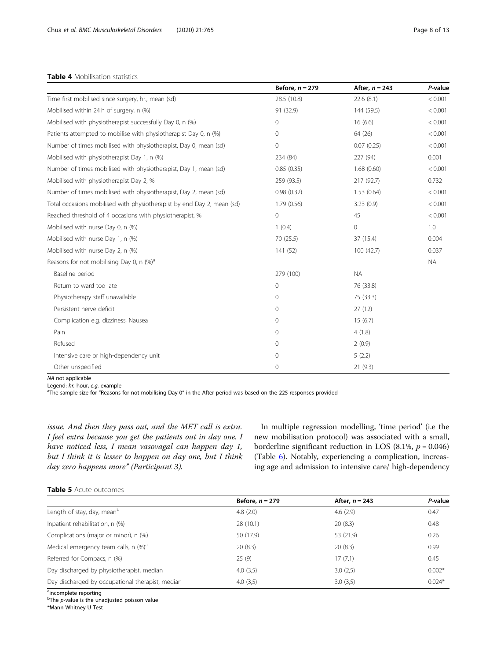#### <span id="page-7-0"></span>Table 4 Mobilisation statistics

|                                                                        | Before, $n = 279$ | After, $n = 243$ | P-value   |
|------------------------------------------------------------------------|-------------------|------------------|-----------|
| Time first mobilised since surgery, hr., mean (sd)                     | 28.5 (10.8)       | 22.6(8.1)        | < 0.001   |
| Mobilised within 24 h of surgery, n (%)                                | 91 (32.9)         | 144 (59.5)       | < 0.001   |
| Mobilised with physiotherapist successfully Day 0, n (%)               | $\mathbf 0$       | 16(6.6)          | < 0.001   |
| Patients attempted to mobilise with physiotherapist Day 0, n (%)       | $\mathbf{0}$      | 64 (26)          | < 0.001   |
| Number of times mobilised with physiotherapist, Day 0, mean (sd)       | $\mathbf 0$       | 0.07(0.25)       | < 0.001   |
| Mobilised with physiotherapist Day 1, n (%)                            | 234 (84)          | 227 (94)         | 0.001     |
| Number of times mobilised with physiotherapist, Day 1, mean (sd)       | 0.85(0.35)        | 1.68(0.60)       | < 0.001   |
| Mobilised with physiotherapist Day 2, %                                | 259 (93.5)        | 217 (92.7)       | 0.732     |
| Number of times mobilised with physiotherapist, Day 2, mean (sd)       | 0.98(0.32)        | 1.53(0.64)       | < 0.001   |
| Total occasions mobilised with physiotherapist by end Day 2, mean (sd) | 1.79(0.56)        | 3.23(0.9)        | < 0.001   |
| Reached threshold of 4 occasions with physiotherapist, %               | $\mathbf 0$       | 45               | < 0.001   |
| Mobilised with nurse Day 0, n (%)                                      | 1(0.4)            | $\circ$          | 1.0       |
| Mobilised with nurse Day 1, n (%)                                      | 70 (25.5)         | 37 (15.4)        | 0.004     |
| Mobilised with nurse Day 2, n (%)                                      | 141 (52)          | 100(42.7)        | 0.037     |
| Reasons for not mobilising Day 0, n (%) <sup>a</sup>                   |                   |                  | <b>NA</b> |
| Baseline period                                                        | 279 (100)         | <b>NA</b>        |           |
| Return to ward too late                                                | $\mathbf{0}$      | 76 (33.8)        |           |
| Physiotherapy staff unavailable                                        | $\Omega$          | 75 (33.3)        |           |
| Persistent nerve deficit                                               | $\Omega$          | 27(12)           |           |
| Complication e.g. dizziness, Nausea                                    | $\mathbf{0}$      | 15(6.7)          |           |
| Pain                                                                   | $\mathbf{0}$      | 4(1.8)           |           |
| Refused                                                                | $\Omega$          | 2(0.9)           |           |
| Intensive care or high-dependency unit                                 | $\mathbf{0}$      | 5(2.2)           |           |
| Other unspecified                                                      | $\mathbf{0}$      | 21(9.3)          |           |

NA not applicable

Legend: hr. hour, e.g. example

<sup>a</sup>The sample size for "Reasons for not mobilising Day 0" in the After period was based on the 225 responses provided

issue. And then they pass out, and the MET call is extra. I feel extra because you get the patients out in day one. I have noticed less, I mean vasovagal can happen day 1, but I think it is lesser to happen on day one, but I think day zero happens more" (Participant 3).

In multiple regression modelling, 'time period' (i.e the new mobilisation protocol) was associated with a small, borderline significant reduction in LOS (8.1%,  $p = 0.046$ ) (Table [6](#page-8-0)). Notably, experiencing a complication, increasing age and admission to intensive care/ high-dependency

# Table 5 Acute outcomes

|                                                  | Before, $n = 279$ | After, $n = 243$ | P-value  |
|--------------------------------------------------|-------------------|------------------|----------|
| Length of stay, day, mean <sup>b</sup>           | 4.8(2.0)          | 4.6(2.9)         | 0.47     |
| Inpatient rehabilitation, n (%)                  | 28(10.1)          | 20(8.3)          | 0.48     |
| Complications (major or minor), n (%)            | 50 (17.9)         | 53 (21.9)        | 0.26     |
| Medical emergency team calls, n (%) <sup>a</sup> | 20(8.3)           | 20(8.3)          | 0.99     |
| Referred for Compacs, n (%)                      | 25(9)             | 17(7.1)          | 0.45     |
| Day discharged by physiotherapist, median        | 4.0(3.5)          | 3.0(2.5)         | $0.002*$ |
| Day discharged by occupational therapist, median | 4.0(3.5)          | 3.0(3.5)         | $0.024*$ |

<sup>a</sup>incomplete reporting

<sup>b</sup>The p-value is the unadjusted poisson value

\*Mann Whitney U Test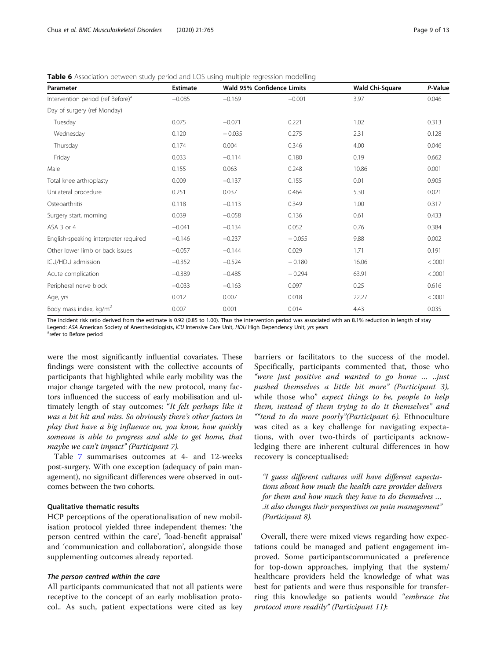<span id="page-8-0"></span>**Table 6** Association between study period and LOS using multiple regression modelling

| Parameter                                     | <b>Estimate</b> |          | Wald 95% Confidence Limits | Wald Chi-Square | P-Value |
|-----------------------------------------------|-----------------|----------|----------------------------|-----------------|---------|
| Intervention period (ref Before) <sup>a</sup> | $-0.085$        | $-0.169$ | $-0.001$                   | 3.97            | 0.046   |
| Day of surgery (ref Monday)                   |                 |          |                            |                 |         |
| Tuesday                                       | 0.075           | $-0.071$ | 0.221                      | 1.02            | 0.313   |
| Wednesday                                     | 0.120           | $-0.035$ | 0.275                      | 2.31            | 0.128   |
| Thursday                                      | 0.174           | 0.004    | 0.346                      | 4.00            | 0.046   |
| Friday                                        | 0.033           | $-0.114$ | 0.180                      | 0.19            | 0.662   |
| Male                                          | 0.155           | 0.063    | 0.248                      | 10.86           | 0.001   |
| Total knee arthroplasty                       | 0.009           | $-0.137$ | 0.155                      | 0.01            | 0.905   |
| Unilateral procedure                          | 0.251           | 0.037    | 0.464                      | 5.30            | 0.021   |
| Osteoarthritis                                | 0.118           | $-0.113$ | 0.349                      | 1.00            | 0.317   |
| Surgery start, morning                        | 0.039           | $-0.058$ | 0.136                      | 0.61            | 0.433   |
| ASA 3 or 4                                    | $-0.041$        | $-0.134$ | 0.052                      | 0.76            | 0.384   |
| English-speaking interpreter required         | $-0.146$        | $-0.237$ | $-0.055$                   | 9.88            | 0.002   |
| Other lower limb or back issues               | $-0.057$        | $-0.144$ | 0.029                      | 1.71            | 0.191   |
| ICU/HDU admission                             | $-0.352$        | $-0.524$ | $-0.180$                   | 16.06           | < .0001 |
| Acute complication                            | $-0.389$        | $-0.485$ | $-0.294$                   | 63.91           | < .0001 |
| Peripheral nerve block                        | $-0.033$        | $-0.163$ | 0.097                      | 0.25            | 0.616   |
| Age, yrs                                      | 0.012           | 0.007    | 0.018                      | 22.27           | < .0001 |
| Body mass index, kg/m <sup>2</sup>            | 0.007           | 0.001    | 0.014                      | 4.43            | 0.035   |

The incident risk ratio derived from the estimate is 0.92 (0.85 to 1.00). Thus the intervention period was associated with an 8.1% reduction in length of stay Legend: ASA American Society of Anesthesiologists, ICU Intensive Care Unit, HDU High Dependency Unit, yrs years

<sup>a</sup>refer to Before period

were the most significantly influential covariates. These findings were consistent with the collective accounts of participants that highlighted while early mobility was the major change targeted with the new protocol, many factors influenced the success of early mobilisation and ultimately length of stay outcomes: "It felt perhaps like it was a bit hit and miss. So obviously there's other factors in play that have a big influence on, you know, how quickly someone is able to progress and able to get home, that maybe we can't impact" (Participant 7).

Table [7](#page-9-0) summarises outcomes at 4- and 12-weeks post-surgery. With one exception (adequacy of pain management), no significant differences were observed in outcomes between the two cohorts.

#### Qualitative thematic results

HCP perceptions of the operationalisation of new mobilisation protocol yielded three independent themes: 'the person centred within the care', 'load-benefit appraisal' and 'communication and collaboration', alongside those supplementing outcomes already reported.

#### The person centred within the care

All participants communicated that not all patients were receptive to the concept of an early moblisation protocol.. As such, patient expectations were cited as key

barriers or facilitators to the success of the model. Specifically, participants commented that, those who "were just positive and wanted to go home … ..just pushed themselves a little bit more" (Participant 3), while those who" expect things to be, people to help them, instead of them trying to do it themselves" and ""tend to do more poorly"(Participant 6). Ethnoculture was cited as a key challenge for navigating expectations, with over two-thirds of participants acknowledging there are inherent cultural differences in how recovery is conceptualised:

"I guess different cultures will have different expectations about how much the health care provider delivers for them and how much they have to do themselves … .it also changes their perspectives on pain management" (Participant 8).

Overall, there were mixed views regarding how expectations could be managed and patient engagement improved. Some participantscommunicated a preference for top-down approaches, implying that the system/ healthcare providers held the knowledge of what was best for patients and were thus responsible for transferring this knowledge so patients would "embrace the protocol more readily" (Participant 11):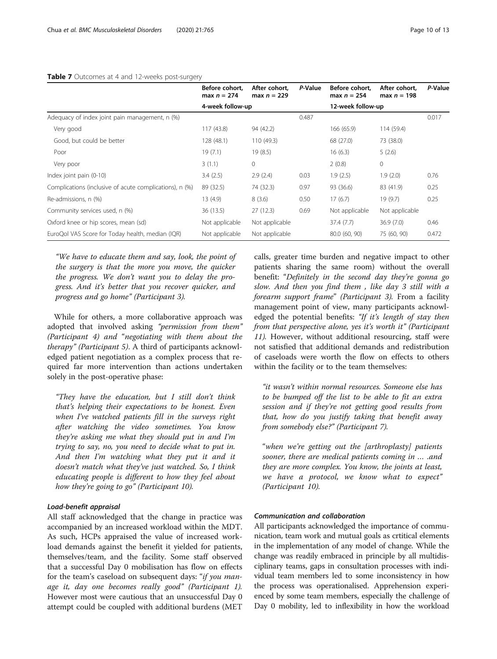## <span id="page-9-0"></span>Table 7 Outcomes at 4 and 12-weeks post-surgery

|                                                         | Before cohort.<br>max $n = 274$ | After cohort.<br>max $n = 229$ | P-Value | Before cohort,<br>max $n = 254$ | After cohort,<br>max $n = 198$ | P-Value |
|---------------------------------------------------------|---------------------------------|--------------------------------|---------|---------------------------------|--------------------------------|---------|
|                                                         | 4-week follow-up                |                                |         | 12-week follow-up               |                                |         |
| Adequacy of index joint pain management, n (%)          |                                 |                                | 0.487   |                                 |                                | 0.017   |
| Very good                                               | 117(43.8)                       | 94 (42.2)                      |         | 166 (65.9)                      | 114 (59.4)                     |         |
| Good, but could be better                               | 128 (48.1)                      | 110 (49.3)                     |         | 68 (27.0)                       | 73 (38.0)                      |         |
| Poor                                                    | 19(7.1)                         | 19(8.5)                        |         | 16(6.3)                         | 5(2.6)                         |         |
| Very poor                                               | 3(1.1)                          | $\circ$                        |         | 2(0.8)                          | $\mathbf{0}$                   |         |
| Index joint pain (0-10)                                 | 3.4(2.5)                        | 2.9(2.4)                       | 0.03    | 1.9(2.5)                        | 1.9(2.0)                       | 0.76    |
| Complications (inclusive of acute complications), n (%) | 89 (32.5)                       | 74 (32.3)                      | 0.97    | 93 (36.6)                       | 83 (41.9)                      | 0.25    |
| Re-admissions, n (%)                                    | 13(4.9)                         | 8(3.6)                         | 0.50    | 17(6.7)                         | 19 (9.7)                       | 0.25    |
| Community services used, n (%)                          | 36 (13.5)                       | 27(12.3)                       | 0.69    | Not applicable                  | Not applicable                 |         |
| Oxford knee or hip scores, mean (sd)                    | Not applicable                  | Not applicable                 |         | 37.4(7.7)                       | 36.9(7.0)                      | 0.46    |
| EuroQol VAS Score for Today health, median (IQR)        | Not applicable                  | Not applicable                 |         | 80.0 (60, 90)                   | 75 (60, 90)                    | 0.472   |

"We have to educate them and say, look, the point of the surgery is that the more you move, the quicker the progress. We don't want you to delay the progress. And it's better that you recover quicker, and progress and go home" (Participant 3).

While for others, a more collaborative approach was adopted that involved asking "permission from them" (Participant 4) and "negotiating with them about the therapy" (Participant 5). A third of participants acknowledged patient negotiation as a complex process that required far more intervention than actions undertaken solely in the post-operative phase:

"They have the education, but I still don't think that's helping their expectations to be honest. Even when I've watched patients fill in the surveys right after watching the video sometimes. You know they're asking me what they should put in and I'm trying to say, no, you need to decide what to put in. And then I'm watching what they put it and it doesn't match what they've just watched. So, I think educating people is different to how they feel about how they're going to go" (Participant 10).

### Load-benefit appraisal

All staff acknowledged that the change in practice was accompanied by an increased workload within the MDT. As such, HCPs appraised the value of increased workload demands against the benefit it yielded for patients, themselves/team, and the facility. Some staff observed that a successful Day 0 mobilisation has flow on effects for the team's caseload on subsequent days: "if you manage it, day one becomes really good" (Participant 1). However most were cautious that an unsuccessful Day 0 attempt could be coupled with additional burdens (MET calls, greater time burden and negative impact to other patients sharing the same room) without the overall benefit: "Definitely in the second day they're gonna go slow. And then you find them , like day 3 still with a forearm support frame" (Participant 3). From a facility management point of view, many participants acknowledged the potential benefits: "If it's length of stay then from that perspective alone, yes it's worth it" (Participant 11). However, without additional resourcing, staff were not satisfied that additional demands and redistribution of caseloads were worth the flow on effects to others within the facility or to the team themselves:

"it wasn't within normal resources. Someone else has to be bumped off the list to be able to fit an extra session and if they're not getting good results from that, how do you justify taking that benefit away from somebody else?" (Participant 7).

"when we're getting out the [arthroplasty] patients sooner, there are medical patients coming in … .and they are more complex. You know, the joints at least, we have a protocol, we know what to expect" (Participant 10).

#### Communication and collaboration

All participants acknowledged the importance of communication, team work and mutual goals as crtitical elements in the implementation of any model of change. While the change was readily embraced in principle by all multidisciplinary teams, gaps in consultation processes with individual team members led to some inconsistency in how the process was operationalised. Apprehension experienced by some team members, especially the challenge of Day 0 mobility, led to inflexibility in how the workload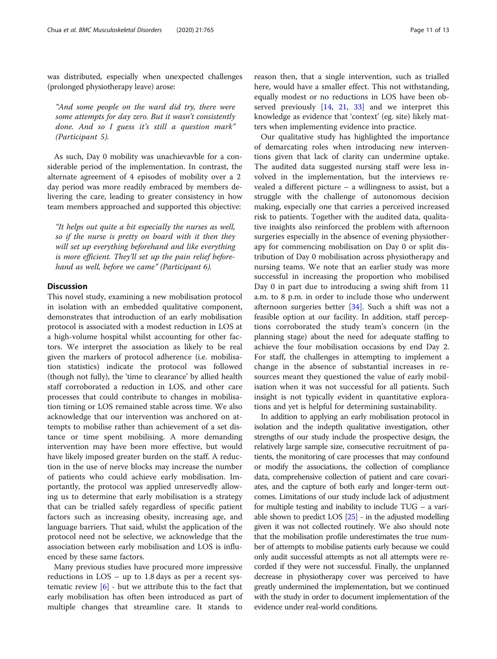was distributed, especially when unexpected challenges (prolonged physiotherapy leave) arose:

"And some people on the ward did try, there were some attempts for day zero. But it wasn't consistently done. And so I guess it's still a question mark" (Participant 5).

As such, Day 0 mobility was unachievavble for a considerable period of the implementation. In contrast, the alternate agreement of 4 episodes of mobility over a 2 day period was more readily embraced by members delivering the care, leading to greater consistency in how team members approached and supported this objective:

"It helps out quite a bit especially the nurses as well, so if the nurse is pretty on board with it then they will set up everything beforehand and like everything is more efficient. They'll set up the pain relief beforehand as well, before we came" (Participant 6).

## **Discussion**

This novel study, examining a new mobilisation protocol in isolation with an embedded qualitative component, demonstrates that introduction of an early mobilisation protocol is associated with a modest reduction in LOS at a high-volume hospital whilst accounting for other factors. We interpret the association as likely to be real given the markers of protocol adherence (i.e. mobilisation statistics) indicate the protocol was followed (though not fully), the 'time to clearance' by allied health staff corroborated a reduction in LOS, and other care processes that could contribute to changes in mobilisation timing or LOS remained stable across time. We also acknowledge that our intervention was anchored on attempts to mobilise rather than achievement of a set distance or time spent mobilising. A more demanding intervention may have been more effective, but would have likely imposed greater burden on the staff. A reduction in the use of nerve blocks may increase the number of patients who could achieve early mobilisation. Importantly, the protocol was applied unreservedly allowing us to determine that early mobilisation is a strategy that can be trialled safely regardless of specific patient factors such as increasing obesity, increasing age, and language barriers. That said, whilst the application of the protocol need not be selective, we acknowledge that the association between early mobilisation and LOS is influenced by these same factors.

Many previous studies have procured more impressive reductions in LOS – up to 1.8 days as per a recent systematic review  $[6]$  - but we attribute this to the fact that early mobilisation has often been introduced as part of multiple changes that streamline care. It stands to

reason then, that a single intervention, such as trialled here, would have a smaller effect. This not withstanding, equally modest or no reductions in LOS have been observed previously [[14,](#page-11-0) [21,](#page-12-0) [33\]](#page-12-0) and we interpret this knowledge as evidence that 'context' (eg. site) likely matters when implementing evidence into practice.

Our qualitative study has highlighted the importance of demarcating roles when introducing new interventions given that lack of clarity can undermine uptake. The audited data suggested nursing staff were less involved in the implementation, but the interviews revealed a different picture – a willingness to assist, but a struggle with the challenge of autonomous decision making, especially one that carries a perceived increased risk to patients. Together with the audited data, qualitative insights also reinforced the problem with afternoon surgeries especially in the absence of evening physiotherapy for commencing mobilisation on Day 0 or split distribution of Day 0 mobilisation across physiotherapy and nursing teams. We note that an earlier study was more successful in increasing the proportion who mobilised Day 0 in part due to introducing a swing shift from 11 a.m. to 8 p.m. in order to include those who underwent afternoon surgeries better [\[34](#page-12-0)]. Such a shift was not a feasible option at our facility. In addition, staff perceptions corroborated the study team's concern (in the planning stage) about the need for adequate staffing to achieve the four mobilisation occasions by end Day 2. For staff, the challenges in attempting to implement a change in the absence of substantial increases in resources meant they questioned the value of early mobilisation when it was not successful for all patients. Such insight is not typically evident in quantitative explorations and yet is helpful for determining sustainability.

In addition to applying an early mobilisation protocol in isolation and the indepth qualitative investigation, other strengths of our study include the prospective design, the relatively large sample size, consecutive recruitment of patients, the monitoring of care processes that may confound or modify the associations, the collection of compliance data, comprehensive collection of patient and care covariates, and the capture of both early and longer-term outcomes. Limitations of our study include lack of adjustment for multiple testing and inability to include TUG – a variable shown to predict LOS [[25\]](#page-12-0) - in the adjusted modelling given it was not collected routinely. We also should note that the mobilisation profile underestimates the true number of attempts to mobilise patients early because we could only audit successful attempts as not all attempts were recorded if they were not successful. Finally, the unplanned decrease in physiotherapy cover was perceived to have greatly undermined the implementation, but we continued with the study in order to document implementation of the evidence under real-world conditions.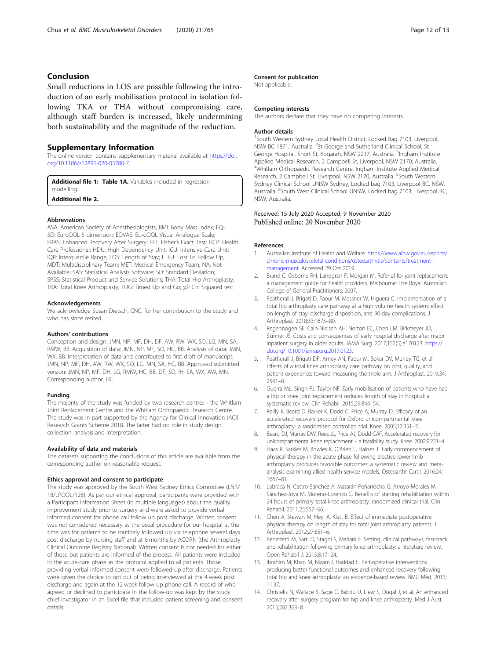# <span id="page-11-0"></span>Conclusion

Small reductions in LOS are possible following the introduction of an early mobilisation protocol in isolation following TKA or THA without compromising care, although staff burden is increased, likely undermining both sustainability and the magnitude of the reduction.

#### Supplementary Information

The online version contains supplementary material available at [https://doi.](https://doi.org/10.1186/s12891-020-03780-7) [org/10.1186/s12891-020-03780-7.](https://doi.org/10.1186/s12891-020-03780-7)

Additional file 1: Table 1A. Variables included in regression modelling.

Additional file 2.

#### Abbreviations

ASA: American Society of Anesthesiologists; BMI: Body Mass Index; EQ-5D: EuroQOL 5 dimension; EQVAS: EuroQOL Visual Analogue Scale; ERAS: Enhanced Recovery After Surgery; FET: Fisher's Exact Test; HCP: Health Care Professional; HDU: High Dependency Unit; ICU: Intensive Care Unit; IQR: Interquartile Range; LOS: Length of Stay; LTFU: Lost To Follow Up; MDT: Multidisciplinary Team; MET: Medical Emergency Team; NA: Not Available; SAS: Statistical Analysis Software; SD: Standard Deviation; SPSS: Statistical Product and Service Solutions; THA: Total Hip Arthroplasty; TKA: Total Knee Arthroplasty; TUG: Timed Up and Go; χ2: Chi Squared test

#### Acknowledgements

We acknowledge Susan Dietsch, CNC, for her contribution to the study and who has since retired.

#### Authors' contributions

Conception and design: JMN, NP, MF, DH, DF, AW, RW, WX, SO, LG, MN, SA, RMW, BB. Acquisition of data: JMN, NP, MF, SO, HC, BB. Analysis of data: JMN, WX, BB. Interpretation of data and contributed to first draft of manuscript: JMN, NP, MF, DH, AW, RW, WX, SO, LG, MN, SA, HC, BB. Approved submitted version: JMN, NP, MF, DH, LG, RMW, HC, BB, DF, SO, IH, SA, WX, AW, MN. Corresponding author: HC

#### Funding

The majority of the study was funded by two research centres - the Whitlam Joint Replacement Centre and the Whitlam Orthopaedic Research Centre. The study was in part supported by the Agency for Clinical Innovation (ACI) Research Grants Scheme 2018. The latter had no role in study design, collection, analysis and interpretation.

#### Availability of data and materials

The datasets supporting the conclusions of this article are available from the corresponding author on reasonable request.

#### Ethics approval and consent to participate

The study was approved by the South West Sydney Ethics Committee (LNR/ 18/LPOOL/128). As per our ethical approval, participants were provided with a Participant Information Sheet (in multiple languages) about the quality improvement study prior to surgery and were asked to provide verbal informed consent for phone call follow up post discharge. Written consent was not considered necessary as the usual procedure for our hospital at the time was for patients to be routinely followed up via telephone several days post discharge by nursing staff and at 6 months by ACORN (the Arthroplasty Clinical Outcome Registry National). Written consent is not needed for either of these but patients are informed of the process. All patients were included in the acute-care phase as the protocol applied to all patients. Those providing verbal informed consent were followed-up after discharge. Patients were given the choice to opt out of being interviewed at the 4 week post discharge and again at the 12 week follow up phone call. A record of who agreed or declined to participate in the follow-up was kept by the study chief investigator in an Excel file that included patient screening and consent details.

#### Consent for publication

Not applicable.

#### Competing interests

The authors declare that they have no competing interests.

#### Author details

<sup>1</sup>South Western Sydney Local Health District, Locked Bag 7103, Liverpool, NSW BC 1871, Australia. <sup>2</sup>St George and Sutherland Clinical School, St George Hospital, Short St, Kogarah, NSW 2217, Australia. <sup>3</sup>Ingham Institute Applied Medical Research, 2 Campbell St, Liverpool, NSW 2170, Australia. 4 Whitlam Orthopaedic Research Centre, Ingham Institute Applied Medical Research, 2 Campbell St, Liverpool, NSW 2170, Australia. <sup>5</sup>South Western Sydney Clinical School UNSW Sydney, Locked bag 7103, Liverpool BC, NSW, Australia. <sup>6</sup> South West Clinical School UNSW, Locked bag 7103, Liverpool BC, NSW, Australia.

#### Received: 15 July 2020 Accepted: 9 November 2020 Published online: 20 November 2020

#### References

- 1. Australian Institute of Health and Welfare: [https://www.aihw.gov.au/reports/](https://www.aihw.gov.au/reports/chronic-musculoskeletal-conditions/osteoarthritis/contents/treatment-management) [chronic-musculoskeletal-conditions/osteoarthritis/contents/treatment](https://www.aihw.gov.au/reports/chronic-musculoskeletal-conditions/osteoarthritis/contents/treatment-management)[management](https://www.aihw.gov.au/reports/chronic-musculoskeletal-conditions/osteoarthritis/contents/treatment-management). Accessed 29 Oct 2019.
- 2. Brand C, Osborne RH, Landgren F, Morgan M. Referral for joint replacement: a management guide for health providers. Melbourne: The Royal Australian College of General Practitioners; 2007.
- 3. Featherall J, Brigati D, Faour M, Messner W, Higuera C. Implementation of a total hip arthroplasty care pathway at a high volume health system: effect on length of stay, discharge disposition, and 90-day complications. J Arthroplast. 2018;33:1675–80.
- 4. Regenbogen SE, Cain-Nielsen AH, Norton EC, Chen LM, Birkmeyer JD, Skinner JS. Costs and consequences of early hospital discharge after major inpatient surgery in older adults. JAMA Surg. 2017;152(5):e170123. [https://](https://doi.org/10.1001/jamasurg.2017.0123) [doi.org/10.1001/jamasurg.2017.0123.](https://doi.org/10.1001/jamasurg.2017.0123)
- 5. Featherall J, Brigati DP, Arney AN, Faour M, Bokar DV, Murray TG, et al. Effects of a total knee arthroplasty care pathway on cost, quality, and patient experience: toward measuring the triple aim. J Arthroplast. 2019;34: 2561–8.
- 6. Guerra ML, Singh PJ, Taylor NF. Early mobilisation of patients who have had a hip or knee joint replacement reduces length of stay in hospital: a systematic review. Clin Rehabil. 2015;29:844–54.
- 7. Reilly K, Beard D, Barker K, Dodd C, Price A, Murray D. Efficacy of an accelerated recovery protocol for Oxford unicompartmental knee arthroplasty- a randomised controlled trial. Knee. 2005;12:351–7.
- 8. Beard DJ, Murray DW, Rees JL, Price AJ, Dodd CAF. Accelerated recovery for unicompartmental knee replacement – a feasibility study. Knee. 2002;9:221–4.
- 9. Haas R, Sarkies M, Bowles K, O'Brien L, Haines T. Early commencement of physical therapy in the acute phase following elective lower limb arthroplasty produces favorable outcomes: a systematic review and metaanalysis examining allied health service models. Osteoarthr Cartil. 2016;24: 1667–81.
- 10. Labraca N, Castro-Sánchez A, Matarán-Peñarrocha G, Arroyo-Morales M, Sánchez-Joya M, Moreno-Lorenzo C. Benefits of starting rehabilitation within 24 hours of primary total knee arthroplasty: randomized clinical trial. Clin Rehabil. 2011;25:557–66.
- 11. Chen A, Stewart M, Heyl A, Klatt B. Effect of immediate postoperative physical therapy on length of stay for total joint arthroplasty patients. J Arthroplast. 2012;27:851–6.
- 12. Benedetti M, Sarti D, Stagni S, Mariani E. Setting, clinical pathways, fast-track and rehabilitation following primary knee arthroplasty: a literature review. Open Rehabil J. 2015;8:17–24.
- 13. Ibrahim M, Khan M, Nizam I, Haddad F. Peri-operative interventions producing better functional outcomes and enhanced recovery following total hip and knee arthroplasty: an evidence-based review. BMC Med. 2013; 11:37.
- 14. Christelis N, Wallace S, Sage C, Babitu U, Liew S, Dugal J, et al. An enhanced recovery after surgery program for hip and knee arthroplasty. Med J Aust. 2015;202:363–8.